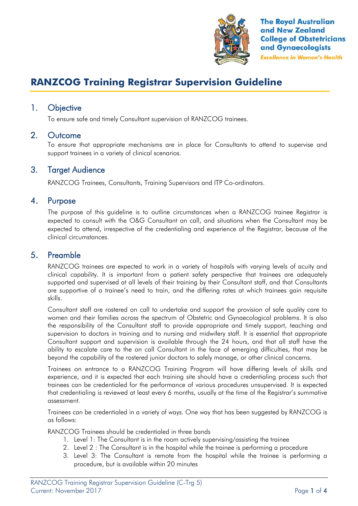

**The Royal Australian** and New Zealand **College of Obstetricians** and Gynaecologists **Excellence in Women's Health** 

# **RANZCOG Training Registrar Supervision Guideline**

## 1. Objective

To ensure safe and timely Consultant supervision of RANZCOG trainees.

#### 2. Outcome

To ensure that appropriate mechanisms are in place for Consultants to attend to supervise and support trainees in a variety of clinical scenarios.

## 3. Target Audience

RANZCOG Trainees, Consultants, Training Supervisors and ITP Co-ordinators.

#### 4. Purpose

The purpose of this guideline is to outline circumstances when a RANZCOG trainee Registrar is expected to consult with the O&G Consultant on call, and situations when the Consultant may be expected to attend, irrespective of the credentialing and experience of the Registrar, because of the clinical circumstances.

#### 5. Preamble

RANZCOG trainees are expected to work in a variety of hospitals with varying levels of acuity and clinical capability. It is important from a patient safety perspective that trainees are adequately supported and supervised at all levels of their training by their Consultant staff, and that Consultants are supportive of a trainee's need to train, and the differing rates at which trainees gain requisite skills.

Consultant staff are rostered on call to undertake and support the provision of safe quality care to women and their families across the spectrum of Obstetric and Gynaecological problems. It is also the responsibility of the Consultant staff to provide appropriate and timely support, teaching and supervision to doctors in training and to nursing and midwifery staff. It is essential that appropriate Consultant support and supervision is available through the 24 hours, and that all staff have the ability to escalate care to the on call Consultant in the face of emerging difficulties, that may be beyond the capability of the rostered junior doctors to safely manage, or other clinical concerns.

Trainees on entrance to a RANZCOG Training Program will have differing levels of skills and experience, and it is expected that each training site should have a credentialing process such that trainees can be credentialed for the performance of various procedures unsupervised. It is expected that credentialing is reviewed at least every 6 months, usually at the time of the Registrar's summative assessment.

Trainees can be credentialed in a variety of ways. One way that has been suggested by RANZCOG is as follows:

RANZCOG Trainees should be credentialed in three bands

- 1. Level 1: The Consultant is in the room actively supervising/assisting the trainee
- 2. Level 2 : The Consultant is in the hospital while the trainee is performing a procedure
- 3. Level 3: The Consultant is remote from the hospital while the trainee is performing a procedure, but is available within 20 minutes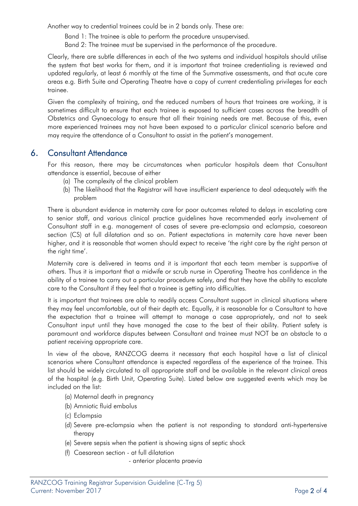Another way to credential trainees could be in 2 bands only. These are:

Band 1: The trainee is able to perform the procedure unsupervised.

Band 2: The trainee must be supervised in the performance of the procedure.

Clearly, there are subtle differences in each of the two systems and individual hospitals should utilise the system that best works for them, and it is important that trainee credentialing is reviewed and updated regularly, at least 6 monthly at the time of the Summative assessments, and that acute care areas e.g. Birth Suite and Operating Theatre have a copy of current credentialing privileges for each trainee.

Given the complexity of training, and the reduced numbers of hours that trainees are working, it is sometimes difficult to ensure that each trainee is exposed to sufficient cases across the breadth of Obstetrics and Gynaecology to ensure that all their training needs are met. Because of this, even more experienced trainees may not have been exposed to a particular clinical scenario before and may require the attendance of a Consultant to assist in the patient's management.

# 6. Consultant Attendance

For this reason, there may be circumstances when particular hospitals deem that Consultant attendance is essential, because of either

- (a) The complexity of the clinical problem
- (b) The likelihood that the Registrar will have insufficient experience to deal adequately with the problem

There is abundant evidence in maternity care for poor outcomes related to delays in escalating care to senior staff, and various clinical practice guidelines have recommended early involvement of Consultant staff in e.g. management of cases of severe pre-eclampsia and eclampsia, caesarean section (CS) at full dilatation and so on. Patient expectations in maternity care have never been higher, and it is reasonable that women should expect to receive 'the right care by the right person at the right time'.

Maternity care is delivered in teams and it is important that each team member is supportive of others. Thus it is important that a midwife or scrub nurse in Operating Theatre has confidence in the ability of a trainee to carry out a particular procedure safely, and that they have the ability to escalate care to the Consultant if they feel that a trainee is getting into difficulties.

It is important that trainees are able to readily access Consultant support in clinical situations where they may feel uncomfortable, out of their depth etc. Equally, it is reasonable for a Consultant to have the expectation that a trainee will attempt to manage a case appropriately, and not to seek Consultant input until they have managed the case to the best of their ability. Patient safety is paramount and workforce disputes between Consultant and trainee must NOT be an obstacle to a patient receiving appropriate care.

In view of the above, RANZCOG deems it necessary that each hospital have a list of clinical scenarios where Consultant attendance is expected regardless of the experience of the trainee. This list should be widely circulated to all appropriate staff and be available in the relevant clinical areas of the hospital (e.g. Birth Unit, Operating Suite). Listed below are suggested events which may be included on the list:

- (a) Maternal death in pregnancy
- (b) Amniotic fluid embolus
- (c) Eclampsia
- (d) Severe pre-eclampsia when the patient is not responding to standard anti-hypertensive therapy
- (e) Severe sepsis when the patient is showing signs of septic shock
- (f) Caesarean section at full dilatation
	- anterior placenta praevia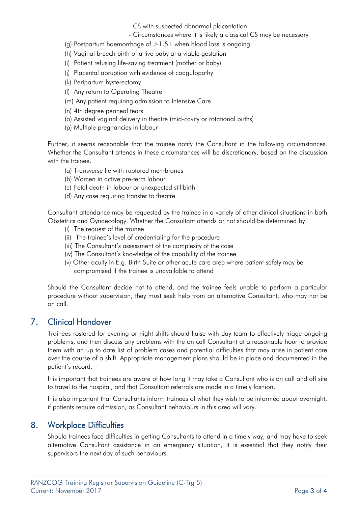- CS with suspected abnormal placentation
- Circumstances where it is likely a classical CS may be necessary
- (g) Postpartum haemorrhage of  $>1.5$  L when blood loss is ongoing
- (h) Vaginal breech birth of a live baby at a viable gestation
- (i) Patient refusing life-saving treatment (mother or baby)
- (j) Placental abruption with evidence of coagulopathy
- (k) Peripartum hysterectomy
- (l) Any return to Operating Theatre
- (m) Any patient requiring admission to Intensive Care
- (n) 4th degree perineal tears
- (o) Assisted vaginal delivery in theatre (mid-cavity or rotational births)
- (p) Multiple pregnancies in labour

Further, it seems reasonable that the trainee notify the Consultant in the following circumstances. Whether the Consultant attends in these circumstances will be discretionary, based on the discussion with the trainee.

- (a) Transverse lie with ruptured membranes
- (b) Women in active pre-term labour
- (c) Fetal death in labour or unexpected stillbirth
- (d) Any case requiring transfer to theatre

Consultant attendance may be requested by the trainee in a variety of other clinical situations in both Obstetrics and Gynaecology. Whether the Consultant attends or not should be determined by

- (i) The request of the trainee
- (ii) The trainee's level of credentialing for the procedure
- (iii) The Consultant's assessment of the complexity of the case
- (iv) The Consultant's knowledge of the capability of the trainee
- (v) Other acuity in E.g. Birth Suite or other acute care area where patient safety may be compromised if the trainee is unavailable to attend

Should the Consultant decide not to attend, and the trainee feels unable to perform a particular procedure without supervision, they must seek help from an alternative Consultant, who may not be on call.

# 7. Clinical Handover

Trainees rostered for evening or night shifts should liaise with day team to effectively triage ongoing problems, and then discuss any problems with the on call Consultant at a reasonable hour to provide them with an up to date list of problem cases and potential difficulties that may arise in patient care over the course of a shift. Appropriate management plans should be in place and documented in the patient's record.

It is important that trainees are aware of how long it may take a Consultant who is on call and off site to travel to the hospital, and that Consultant referrals are made in a timely fashion.

It is also important that Consultants inform trainees of what they wish to be informed about overnight, if patients require admission, as Consultant behaviours in this area will vary.

# 8. Workplace Difficulties

Should trainees face difficulties in getting Consultants to attend in a timely way, and may have to seek alternative Consultant assistance in an emergency situation, it is essential that they notify their supervisors the next day of such behaviours.